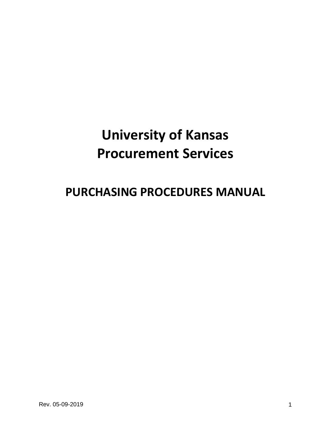# **University of Kansas Procurement Services**

## **PURCHASING PROCEDURES MANUAL**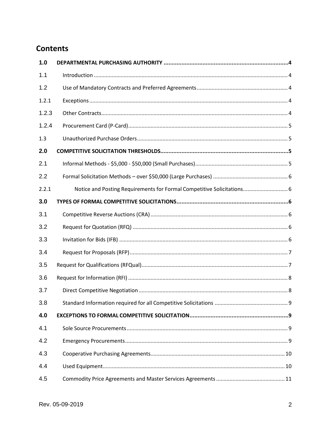## **Contents**

| 1.0   |                                                                        |
|-------|------------------------------------------------------------------------|
| 1.1   |                                                                        |
| 1.2   |                                                                        |
| 1.2.1 |                                                                        |
| 1.2.3 |                                                                        |
| 1.2.4 |                                                                        |
| 1.3   |                                                                        |
| 2.0   |                                                                        |
| 2.1   |                                                                        |
| 2.2   |                                                                        |
| 2.2.1 | Notice and Posting Requirements for Formal Competitive Solicitations 6 |
| 3.0   |                                                                        |
| 3.1   |                                                                        |
| 3.2   |                                                                        |
| 3.3   |                                                                        |
| 3.4   |                                                                        |
| 3.5   |                                                                        |
| 3.6   |                                                                        |
| 3.7   |                                                                        |
| 3.8   |                                                                        |
| 4.0   |                                                                        |
| 4.1   |                                                                        |
| 4.2   |                                                                        |
| 4.3   |                                                                        |
| 4.4   |                                                                        |
| 4.5   |                                                                        |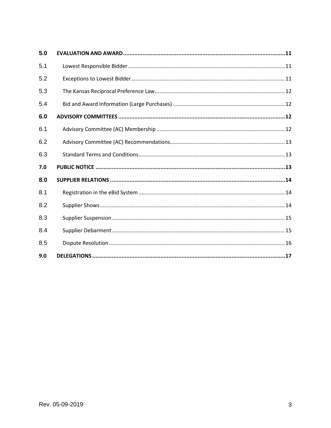| 5.0 |  |
|-----|--|
| 5.1 |  |
| 5.2 |  |
| 5.3 |  |
| 5.4 |  |
| 6.0 |  |
| 6.1 |  |
| 6.2 |  |
| 6.3 |  |
| 7.0 |  |
| 8.0 |  |
| 8.1 |  |
| 8.2 |  |
| 8.3 |  |
| 8.4 |  |
| 8.5 |  |
| 9.0 |  |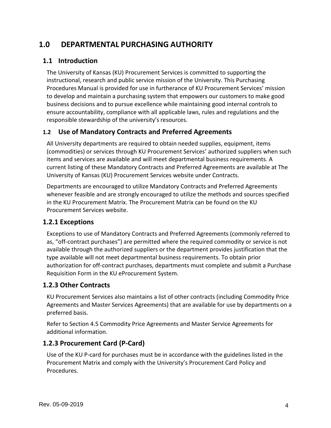## <span id="page-3-0"></span>**1.0 DEPARTMENTAL PURCHASING AUTHORITY**

#### <span id="page-3-1"></span>**1.1 Introduction**

The University of Kansas (KU) Procurement Services is committed to supporting the instructional, research and public service mission of the University. This Purchasing Procedures Manual is provided for use in furtherance of KU Procurement Services' mission to develop and maintain a purchasing system that empowers our customers to make good business decisions and to pursue excellence while maintaining good internal controls to ensure accountability, compliance with all applicable laws, rules and regulations and the responsible stewardship of the university's resources.

#### <span id="page-3-2"></span>**1.2 Use of Mandatory Contracts and Preferred Agreements**

All University departments are required to obtain needed supplies, equipment, items (commodities) or services through KU Procurement Services' authorized suppliers when such items and services are available and will meet departmental business requirements. A current listing of these Mandatory Contracts and Preferred Agreements are available at The University of Kansas (KU) Procurement Services website under Contracts.

Departments are encouraged to utilize Mandatory Contracts and Preferred Agreements whenever feasible and are strongly encouraged to utilize the methods and sources specified in the KU Procurement Matrix. The Procurement Matrix can be found on the KU Procurement Services website.

#### <span id="page-3-3"></span>**1.2.1 Exceptions**

Exceptions to use of Mandatory Contracts and Preferred Agreements (commonly referred to as, "off-contract purchases") are permitted where the required commodity or service is not available through the authorized suppliers or the department provides justification that the type available will not meet departmental business requirements. To obtain prior authorization for off-contract purchases, departments must complete and submit a Purchase Requisition Form in the KU eProcurement System.

#### <span id="page-3-4"></span>**1.2.3 Other Contracts**

KU Procurement Services also maintains a list of other contracts (including Commodity Price Agreements and Master Services Agreements) that are available for use by departments on a preferred basis.

Refer to Section 4.5 Commodity Price Agreements and Master Service Agreements for additional information.

#### <span id="page-3-5"></span>**1.2.3 Procurement Card (P-Card)**

Use of the KU P-card for purchases must be in accordance with the guidelines listed in the Procurement Matrix and comply with the University's Procurement Card Policy and Procedures.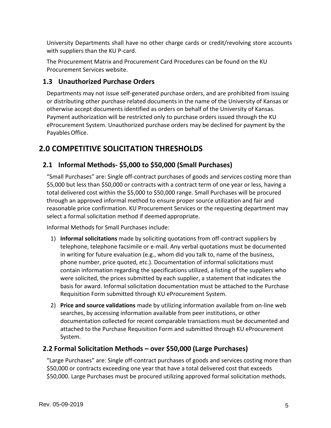University Departments shall have no other charge cards or credit/revolving store accounts with suppliers than the KU P-card.

The Procurement Matrix and Procurement Card Procedures can be found on the KU Procurement Services website.

#### <span id="page-4-0"></span>**1.3 Unauthorized Purchase Orders**

Departments may not issue self-generated purchase orders, and are prohibited from issuing or distributing other purchase related documents in the name of the University of Kansas or otherwise accept documents identified as orders on behalf of the University of Kansas. Payment authorization will be restricted only to purchase orders issued through the KU eProcurement System. Unauthorized purchase orders may be declined for payment by the Payables Office.

## <span id="page-4-1"></span>**2.0 COMPETITIVE SOLICITATION THRESHOLDS**

## **2.1 Informal Methods- \$5,000 to \$50,000 (Small Purchases)**

"Small Purchases" are: Single off-contract purchases of goods and services costing more than \$5,000 but less than \$50,000 or contracts with a contract term of one year or less, having a total delivered cost within the \$5,000 to \$50,000 range. Small Purchases will be procured through an approved informal method to ensure proper source utilization and fair and reasonable price confirmation. KU Procurement Services or the requesting department may select a formal solicitation method if deemed appropriate.

Informal Methods for Small Purchases include:

- 1) **Informal solicitations** made by soliciting quotations from off-contract suppliers by telephone, telephone facsimile or e-mail. Any verbal quotations must be documented in writing for future evaluation (e.g., whom did you talk to, name of the business, phone number, price quoted, etc.). Documentation of informal solicitations must contain information regarding the specifications utilized, a listing of the suppliers who were solicited, the prices submitted by each supplier, a statement that indicates the basis for award. Informal solicitation documentation must be attached to the Purchase Requisition Form submitted through KU eProcurement System.
- 2) **Price and source validations** made by utilizing information available from on-line web searches, by accessing information available from peer institutions, or other documentation collected for recent comparable transactions must be documented and attached to the Purchase Requisition Form and submitted through KU eProcurement System.

#### <span id="page-4-2"></span>**2.2 Formal Solicitation Methods – over \$50,000 (Large Purchases)**

"Large Purchases" are: Single off-contract purchases of goods and services costing more than \$50,000 or contracts exceeding one year that have a total delivered cost that exceeds \$50,000. Large Purchases must be procured utilizing approved formal solicitation methods.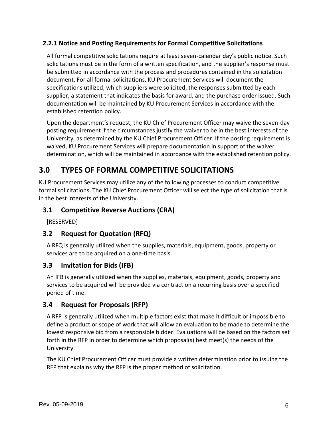#### <span id="page-5-0"></span>**2.2.1 Notice and Posting Requirements for Formal Competitive Solicitations**

All formal competitive solicitations require at least seven-calendar day's public notice. Such solicitations must be in the form of a written specification, and the supplier's response must be submitted in accordance with the process and procedures contained in the solicitation document. For all formal solicitations, KU Procurement Services will document the specifications utilized, which suppliers were solicited, the responses submitted by each supplier, a statement that indicates the basis for award, and the purchase order issued. Such documentation will be maintained by KU Procurement Services in accordance with the established retention policy.

Upon the department's request, the KU Chief Procurement Officer may waive the seven-day posting requirement if the circumstances justify the waiver to be in the best interests of the University, as determined by the KU Chief Procurement Officer. If the posting requirement is waived, KU Procurement Services will prepare documentation in support of the waiver determination, which will be maintained in accordance with the established retention policy.

## <span id="page-5-1"></span>**3.0 TYPES OF FORMAL COMPETITIVE SOLICITATIONS**

KU Procurement Services may utilize any of the following processes to conduct competitive formal solicitations. The KU Chief Procurement Officer will select the type of solicitation that is in the best interests of the University.

#### <span id="page-5-2"></span>**3.1 Competitive Reverse Auctions (CRA)**

[RESERVED]

#### <span id="page-5-3"></span>**3.2 Request for Quotation (RFQ)**

A RFQ is generally utilized when the supplies, materials, equipment, goods, property or services are to be acquired on a one-time basis.

#### <span id="page-5-4"></span>**3.3 Invitation for Bids (IFB)**

An IFB is generally utilized when the supplies, materials, equipment, goods, property and services to be acquired will be provided via contract on a recurring basis over a specified period of time.

#### <span id="page-5-5"></span>**3.4 Request for Proposals (RFP)**

A RFP is generally utilized when multiple factors exist that make it difficult or impossible to define a product or scope of work that will allow an evaluation to be made to determine the lowest responsive bid from a responsible bidder. Evaluations will be based on the factors set forth in the RFP in order to determine which proposal(s) best meet(s) the needs of the University.

The KU Chief Procurement Officer must provide a written determination prior to issuing the RFP that explains why the RFP is the proper method of solicitation.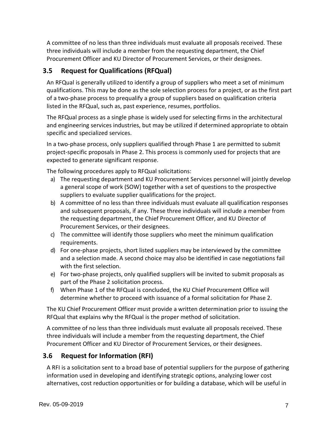A committee of no less than three individuals must evaluate all proposals received. These three individuals will include a member from the requesting department, the Chief Procurement Officer and KU Director of Procurement Services, or their designees.

#### <span id="page-6-0"></span>**3.5 Request for Qualifications (RFQual)**

An RFQual is generally utilized to identify a group of suppliers who meet a set of minimum qualifications. This may be done as the sole selection process for a project, or as the first part of a two-phase process to prequalify a group of suppliers based on qualification criteria listed in the RFQual, such as, past experience, resumes, portfolios.

The RFQual process as a single phase is widely used for selecting firms in the architectural and engineering services industries, but may be utilized if determined appropriate to obtain specific and specialized services.

In a two-phase process, only suppliers qualified through Phase 1 are permitted to submit project-specific proposals in Phase 2. This process is commonly used for projects that are expected to generate significant response.

The following procedures apply to RFQual solicitations:

- a) The requesting department and KU Procurement Services personnel will jointly develop a general scope of work (SOW) together with a set of questions to the prospective suppliers to evaluate supplier qualifications for the project.
- b) A committee of no less than three individuals must evaluate all qualification responses and subsequent proposals, if any. These three individuals will include a member from the requesting department, the Chief Procurement Officer, and KU Director of Procurement Services, or their designees.
- c) The committee will identify those suppliers who meet the minimum qualification requirements.
- d) For one-phase projects, short listed suppliers may be interviewed by the committee and a selection made. A second choice may also be identified in case negotiations fail with the first selection.
- e) For two-phase projects, only qualified suppliers will be invited to submit proposals as part of the Phase 2 solicitation process.
- f) When Phase 1 of the RFQual is concluded, the KU Chief Procurement Office will determine whether to proceed with issuance of a formal solicitation for Phase 2.

The KU Chief Procurement Officer must provide a written determination prior to issuing the RFQual that explains why the RFQual is the proper method of solicitation.

A committee of no less than three individuals must evaluate all proposals received. These three individuals will include a member from the requesting department, the Chief Procurement Officer and KU Director of Procurement Services, or their designees.

#### <span id="page-6-1"></span>**3.6 Request for Information (RFI)**

A RFI is a solicitation sent to a broad base of potential suppliers for the purpose of gathering information used in developing and identifying strategic options, analyzing lower cost alternatives, cost reduction opportunities or for building a database, which will be useful in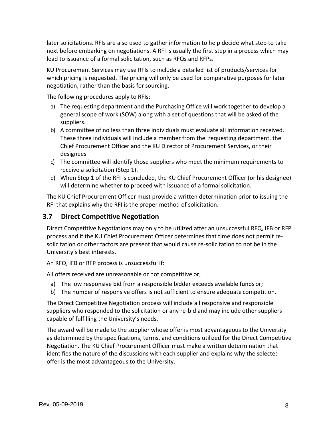later solicitations. RFIs are also used to gather information to help decide what step to take next before embarking on negotiations. A RFI is usually the first step in a process which may lead to issuance of a formal solicitation, such as RFQs and RFPs.

KU Procurement Services may use RFIs to include a detailed list of products/services for which pricing is requested. The pricing will only be used for comparative purposes for later negotiation, rather than the basis for sourcing.

The following procedures apply to RFIs:

- a) The requesting department and the Purchasing Office will work together to develop a general scope of work (SOW) along with a set of questions that will be asked of the suppliers.
- b) A committee of no less than three individuals must evaluate all information received. These three individuals will include a member from the requesting department, the Chief Procurement Officer and the KU Director of Procurement Services, or their designees
- c) The committee will identify those suppliers who meet the minimum requirements to receive a solicitation (Step 1).
- d) When Step 1 of the RFI is concluded, the KU Chief Procurement Officer (or his designee) will determine whether to proceed with issuance of a formal solicitation.

The KU Chief Procurement Officer must provide a written determination prior to issuing the RFI that explains why the RFI is the proper method of solicitation.

#### <span id="page-7-0"></span>**3.7 Direct Competitive Negotiation**

Direct Competitive Negotiations may only to be utilized after an unsuccessful RFQ, IFB or RFP process and if the KU Chief Procurement Officer determines that time does not permit resolicitation or other factors are present that would cause re-solicitation to not be in the University's best interests.

An RFQ, IFB or RFP process is unsuccessful if:

All offers received are unreasonable or not competitive or;

- a) The low responsive bid from a responsible bidder exceeds available funds or;
- b) The number of responsive offers is not sufficient to ensure adequate competition.

The Direct Competitive Negotiation process will include all responsive and responsible suppliers who responded to the solicitation or any re-bid and may include other suppliers capable of fulfilling the University's needs.

The award will be made to the supplier whose offer is most advantageous to the University as determined by the specifications, terms, and conditions utilized for the Direct Competitive Negotiation. The KU Chief Procurement Officer must make a written determination that identifies the nature of the discussions with each supplier and explains why the selected offer is the most advantageous to the University.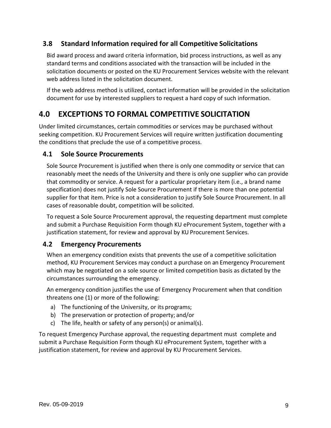#### <span id="page-8-0"></span>**3.8 Standard Information required for all Competitive Solicitations**

Bid award process and award criteria information, bid process instructions, as well as any standard terms and conditions associated with the transaction will be included in the solicitation documents or posted on the KU Procurement Services website with the relevant web address listed in the solicitation document.

If the web address method is utilized, contact information will be provided in the solicitation document for use by interested suppliers to request a hard copy of such information.

## <span id="page-8-1"></span>**4.0 EXCEPTIONS TO FORMAL COMPETITIVE SOLICITATION**

Under limited circumstances, certain commodities or services may be purchased without seeking competition. KU Procurement Services will require written justification documenting the conditions that preclude the use of a competitive process.

#### <span id="page-8-2"></span>**4.1 Sole Source Procurements**

Sole Source Procurement is justified when there is only one commodity or service that can reasonably meet the needs of the University and there is only one supplier who can provide that commodity or service. A request for a particular proprietary item (i.e., a brand name specification) does not justify Sole Source Procurement if there is more than one potential supplier for that item. Price is not a consideration to justify Sole Source Procurement. In all cases of reasonable doubt, competition will be solicited.

<span id="page-8-3"></span>To request a Sole Source Procurement approval, the requesting department must complete and submit a Purchase Requisition Form though KU eProcurement System, together with a justification statement, for review and approval by KU Procurement Services.

#### **4.2 Emergency Procurements**

When an emergency condition exists that prevents the use of a competitive solicitation method, KU Procurement Services may conduct a purchase on an Emergency Procurement which may be negotiated on a sole source or limited competition basis as dictated by the circumstances surrounding the emergency.

An emergency condition justifies the use of Emergency Procurement when that condition threatens one (1) or more of the following:

- a) The functioning of the University, or its programs;
- b) The preservation or protection of property; and/or
- <span id="page-8-4"></span>c) The life, health or safety of any person(s) or animal(s).

To request Emergency Purchase approval, the requesting department must complete and submit a Purchase Requisition Form though KU eProcurement System, together with a justification statement, for review and approval by KU Procurement Services.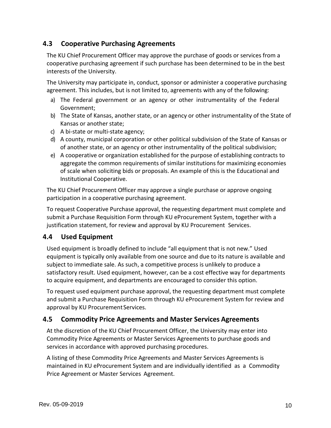#### **4.3 Cooperative Purchasing Agreements**

The KU Chief Procurement Officer may approve the purchase of goods or services from a cooperative purchasing agreement if such purchase has been determined to be in the best interests of the University.

The University may participate in, conduct, sponsor or administer a cooperative purchasing agreement. This includes, but is not limited to, agreements with any of the following:

- a) The Federal government or an agency or other instrumentality of the Federal Government;
- b) The State of Kansas, another state, or an agency or other instrumentality of the State of Kansas or another state;
- c) A bi-state or multi-state agency;
- d) A county, municipal corporation or other political subdivision of the State of Kansas or of another state, or an agency or other instrumentality of the political subdivision;
- e) A cooperative or organization established for the purpose of establishing contracts to aggregate the common requirements of similar institutions for maximizing economies of scale when soliciting bids or proposals. An example of this is the Educational and Institutional Cooperative.

The KU Chief Procurement Officer may approve a single purchase or approve ongoing participation in a cooperative purchasing agreement.

To request Cooperative Purchase approval, the requesting department must complete and submit a Purchase Requisition Form through KU eProcurement System, together with a justification statement, for review and approval by KU Procurement Services.

#### <span id="page-9-0"></span>**4.4 Used Equipment**

Used equipment is broadly defined to include "all equipment that is not new." Used equipment is typically only available from one source and due to its nature is available and subject to immediate sale. As such, a competitive process is unlikely to produce a satisfactory result. Used equipment, however, can be a cost effective way for departments to acquire equipment, and departments are encouraged to consider this option.

To request used equipment purchase approval, the requesting department must complete and submit a Purchase Requisition Form through KU eProcurement System for review and approval by KU Procurement Services.

#### <span id="page-9-1"></span>**4.5 Commodity Price Agreements and Master Services Agreements**

At the discretion of the KU Chief Procurement Officer, the University may enter into Commodity Price Agreements or Master Services Agreements to purchase goods and services in accordance with approved purchasing procedures.

A listing of these Commodity Price Agreements and Master Services Agreements is maintained in KU eProcurement System and are individually identified as a Commodity Price Agreement or Master Services Agreement.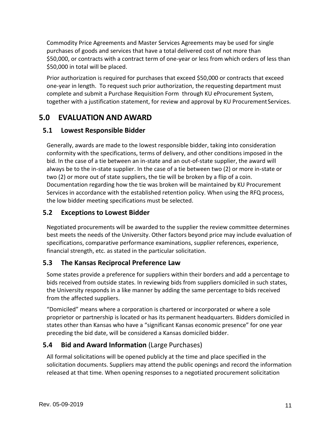Commodity Price Agreements and Master Services Agreements may be used for single purchases of goods and services that have a total delivered cost of not more than \$50,000, or contracts with a contract term of one-year or less from which orders of less than \$50,000 in total will be placed.

Prior authorization is required for purchases that exceed \$50,000 or contracts that exceed one-year in length. To request such prior authorization, the requesting department must complete and submit a Purchase Requisition Form through KU eProcurement System, together with a justification statement, for review and approval by KU Procurement Services.

## <span id="page-10-0"></span>**5.0 EVALUATION AND AWARD**

#### <span id="page-10-1"></span>**5.1 Lowest Responsible Bidder**

Generally, awards are made to the lowest responsible bidder, taking into consideration conformity with the specifications, terms of delivery, and other conditions imposed in the bid. In the case of a tie between an in-state and an out-of-state supplier, the award will always be to the in-state supplier. In the case of a tie between two (2) or more in-state or two (2) or more out of state suppliers, the tie will be broken by a flip of a coin. Documentation regarding how the tie was broken will be maintained by KU Procurement Services in accordance with the established retention policy. When using the RFQ process, the low bidder meeting specifications must be selected.

#### <span id="page-10-2"></span>**5.2 Exceptions to Lowest Bidder**

Negotiated procurements will be awarded to the supplier the review committee determines best meets the needs of the University. Other factors beyond price may include evaluation of specifications, comparative performance examinations, supplier references, experience, financial strength, etc. as stated in the particular solicitation.

#### <span id="page-10-3"></span>**5.3 The Kansas Reciprocal Preference Law**

Some states provide a preference for suppliers within their borders and add a percentage to bids received from outside states. In reviewing bids from suppliers domiciled in such states, the University responds in a like manner by adding the same percentage to bids received from the affected suppliers.

"Domiciled" means where a corporation is chartered or incorporated or where a sole proprietor or partnership is located or has its permanent headquarters. Bidders domiciled in states other than Kansas who have a "significant Kansas economic presence" for one year preceding the bid date, will be considered a Kansas domiciled bidder.

## <span id="page-10-4"></span>**5.4 Bid and Award Information** (Large Purchases)

All formal solicitations will be opened publicly at the time and place specified in the solicitation documents. Suppliers may attend the public openings and record the information released at that time. When opening responses to a negotiated procurement solicitation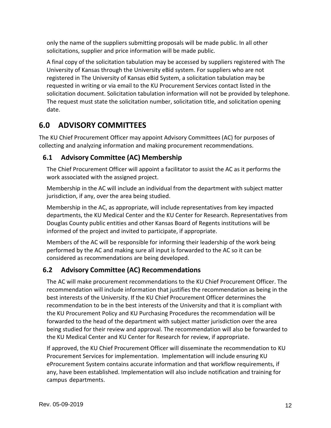only the name of the suppliers submitting proposals will be made public. In all other solicitations, supplier and price information will be made public.

A final copy of the solicitation tabulation may be accessed by suppliers registered with The University of Kansas through the University eBid system. For suppliers who are not registered in The University of Kansas eBid System, a solicitation tabulation may be requested in writing or via email to the KU Procurement Services contact listed in the solicitation document. Solicitation tabulation information will not be provided by telephone. The request must state the solicitation number, solicitation title, and solicitation opening date.

## <span id="page-11-0"></span>**6.0 ADVISORY COMMITTEES**

The KU Chief Procurement Officer may appoint Advisory Committees (AC) for purposes of collecting and analyzing information and making procurement recommendations.

## <span id="page-11-1"></span>**6.1 Advisory Committee (AC) Membership**

The Chief Procurement Officer will appoint a facilitator to assist the AC as it performs the work associated with the assigned project.

Membership in the AC will include an individual from the department with subject matter jurisdiction, if any, over the area being studied.

Membership in the AC, as appropriate, will include representatives from key impacted departments, the KU Medical Center and the KU Center for Research. Representatives from Douglas County public entities and other Kansas Board of Regents institutions will be informed of the project and invited to participate, if appropriate.

Members of the AC will be responsible for informing their leadership of the work being performed by the AC and making sure all input is forwarded to the AC so it can be considered as recommendations are being developed.

## <span id="page-11-2"></span>**6.2 Advisory Committee (AC) Recommendations**

The AC will make procurement recommendations to the KU Chief Procurement Officer. The recommendation will include information that justifies the recommendation as being in the best interests of the University. If the KU Chief Procurement Officer determines the recommendation to be in the best interests of the University and that it is compliant with the KU Procurement Policy and KU Purchasing Procedures the recommendation will be forwarded to the head of the department with subject matter jurisdiction over the area being studied for their review and approval. The recommendation will also be forwarded to the KU Medical Center and KU Center for Research for review, if appropriate.

If approved, the KU Chief Procurement Officer will disseminate the recommendation to KU Procurement Services for implementation. Implementation will include ensuring KU eProcurement System contains accurate information and that workflow requirements, if any, have been established. Implementation will also include notification and training for campus departments.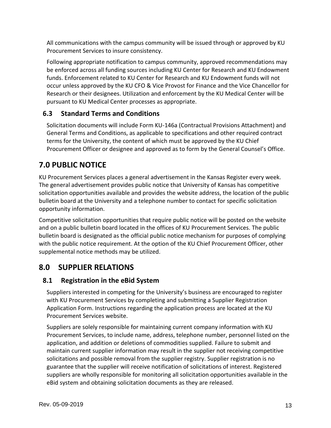All communications with the campus community will be issued through or approved by KU Procurement Services to insure consistency.

Following appropriate notification to campus community, approved recommendations may be enforced across all funding sources including KU Center for Research and KU Endowment funds. Enforcement related to KU Center for Research and KU Endowment funds will not occur unless approved by the KU CFO & Vice Provost for Finance and the Vice Chancellor for Research or their designees. Utilization and enforcement by the KU Medical Center will be pursuant to KU Medical Center processes as appropriate.

#### <span id="page-12-0"></span>**6.3 Standard Terms and Conditions**

Solicitation documents will include Form KU-146a (Contractual Provisions Attachment) and General Terms and Conditions, as applicable to specifications and other required contract terms for the University, the content of which must be approved by the KU Chief Procurement Officer or designee and approved as to form by the General Counsel's Office.

## <span id="page-12-1"></span>**7.0 PUBLIC NOTICE**

KU Procurement Services places a general advertisement in the Kansas Register every week. The general advertisement provides public notice that University of Kansas has competitive solicitation opportunities available and provides the website address, the location of the public bulletin board at the University and a telephone number to contact for specific solicitation opportunity information.

Competitive solicitation opportunities that require public notice will be posted on the website and on a public bulletin board located in the offices of KU Procurement Services. The public bulletin board is designated as the official public notice mechanism for purposes of complying with the public notice requirement. At the option of the KU Chief Procurement Officer, other supplemental notice methods may be utilized.

## <span id="page-12-2"></span>**8.0 SUPPLIER RELATIONS**

#### <span id="page-12-3"></span>**8.1 Registration in the eBid System**

Suppliers interested in competing for the University's business are encouraged to register with KU Procurement Services by completing and submitting a Supplier Registration Application Form. Instructions regarding the application process are located at the KU Procurement Services website.

Suppliers are solely responsible for maintaining current company information with KU Procurement Services, to include name, address, telephone number, personnel listed on the application, and addition or deletions of commodities supplied. Failure to submit and maintain current supplier information may result in the supplier not receiving competitive solicitations and possible removal from the supplier registry. Supplier registration is no guarantee that the supplier will receive notification of solicitations of interest. Registered suppliers are wholly responsible for monitoring all solicitation opportunities available in the eBid system and obtaining solicitation documents as they are released.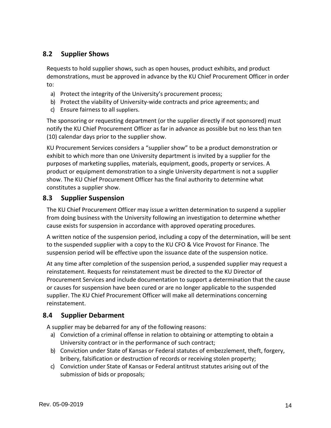#### <span id="page-13-0"></span>**8.2 Supplier Shows**

Requests to hold supplier shows, such as open houses, product exhibits, and product demonstrations, must be approved in advance by the KU Chief Procurement Officer in order to:

- a) Protect the integrity of the University's procurement process;
- b) Protect the viability of University-wide contracts and price agreements; and
- c) Ensure fairness to all suppliers.

The sponsoring or requesting department (or the supplier directly if not sponsored) must notify the KU Chief Procurement Officer as far in advance as possible but no less than ten (10) calendar days prior to the supplier show.

KU Procurement Services considers a "supplier show" to be a product demonstration or exhibit to which more than one University department is invited by a supplier for the purposes of marketing supplies, materials, equipment, goods, property or services. A product or equipment demonstration to a single University department is not a supplier show. The KU Chief Procurement Officer has the final authority to determine what constitutes a supplier show.

#### <span id="page-13-1"></span>**8.3 Supplier Suspension**

The KU Chief Procurement Officer may issue a written determination to suspend a supplier from doing business with the University following an investigation to determine whether cause exists for suspension in accordance with approved operating procedures.

A written notice of the suspension period, including a copy of the determination, will be sent to the suspended supplier with a copy to the KU CFO & Vice Provost for Finance. The suspension period will be effective upon the issuance date of the suspension notice.

At any time after completion of the suspension period, a suspended supplier may request a reinstatement. Requests for reinstatement must be directed to the KU Director of Procurement Services and include documentation to support a determination that the cause or causes for suspension have been cured or are no longer applicable to the suspended supplier. The KU Chief Procurement Officer will make all determinations concerning reinstatement.

#### <span id="page-13-2"></span>**8.4 Supplier Debarment**

A supplier may be debarred for any of the following reasons:

- a) Conviction of a criminal offense in relation to obtaining or attempting to obtain a University contract or in the performance of such contract;
- b) Conviction under State of Kansas or Federal statutes of embezzlement, theft, forgery, bribery, falsification or destruction of records or receiving stolen property;
- c) Conviction under State of Kansas or Federal antitrust statutes arising out of the submission of bids or proposals;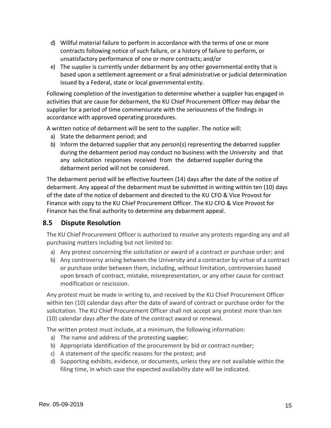- d) Willful material failure to perform in accordance with the terms of one or more contracts following notice of such failure, or a history of failure to perform, or unsatisfactory performance of one or more contracts; and/or
- e) The supplier is currently under debarment by any other governmental entity that is based upon a settlement agreement or a final administrative or judicial determination issued by a Federal, state or local governmental entity.

Following completion of the investigation to determine whether a supplier has engaged in activities that are cause for debarment, the KU Chief Procurement Officer may debar the supplier for a period of time commensurate with the seriousness of the findings in accordance with approved operating procedures.

A written notice of debarment will be sent to the supplier. The notice will:

- a) State the debarment period; and
- b) Inform the debarred supplier that any person(s) representing the debarred supplier during the debarment period may conduct no business with the University and that any solicitation responses received from the debarred supplier during the debarment period will not be considered.

The debarment period will be effective fourteen (14) days after the date of the notice of debarment. Any appeal of the debarment must be submitted in writing within ten (10) days of the date of the notice of debarment and directed to the KU CFO & Vice Provost for Finance with copy to the KU Chief Procurement Officer. The KU CFO & Vice Provost for Finance has the final authority to determine any debarment appeal.

#### <span id="page-14-0"></span>**8.5 Dispute Resolution**

The KU Chief Procurement Officer is authorized to resolve any protests regarding any and all purchasing matters including but not limited to:

- a) Any protest concerning the solicitation or award of a contract or purchase order; and
- b) Any controversy arising between the University and a contractor by virtue of a contract or purchase order between them, including, without limitation, controversies based upon breach of contract, mistake, misrepresentation, or any other cause for contract modification or rescission.

Any protest must be made in writing to, and received by the KU Chief Procurement Officer within ten (10) calendar days after the date of award of contract or purchase order for the solicitation. The KU Chief Procurement Officer shall not accept any protest more than ten (10) calendar days after the date of the contract award or renewal.

The written protest must include, at a minimum, the following information:

- a) The name and address of the protesting supplier;
- b) Appropriate identification of the procurement by bid or contract number;
- c) A statement of the specific reasons for the protest; and
- d) Supporting exhibits, evidence, or documents, unless they are not available within the filing time, in which case the expected availability date will be indicated.